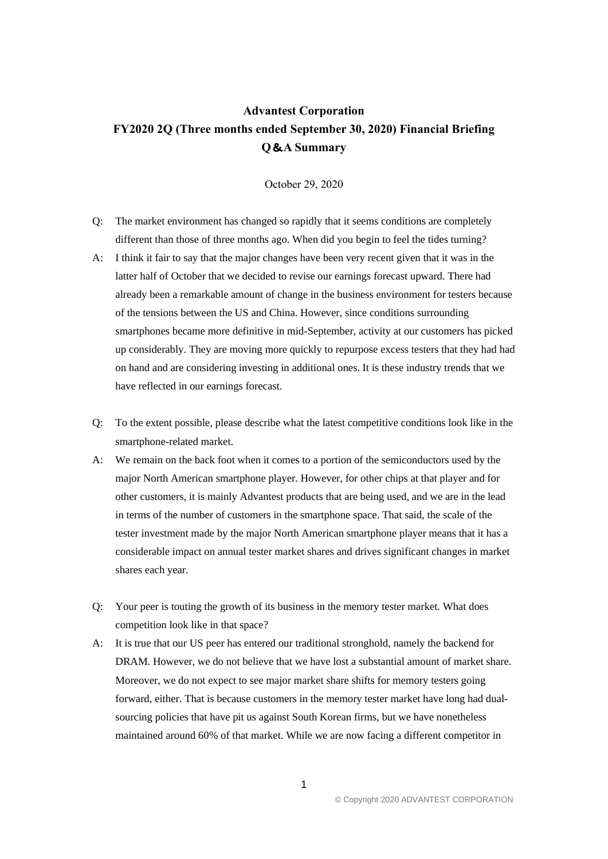## **Advantest Corporation FY2020 2Q (Three months ended September 30, 2020) Financial Briefing Q**&**A Summary**

October 29, 2020

- Q: The market environment has changed so rapidly that it seems conditions are completely different than those of three months ago. When did you begin to feel the tides turning?
- A: I think it fair to say that the major changes have been very recent given that it was in the latter half of October that we decided to revise our earnings forecast upward. There had already been a remarkable amount of change in the business environment for testers because of the tensions between the US and China. However, since conditions surrounding smartphones became more definitive in mid-September, activity at our customers has picked up considerably. They are moving more quickly to repurpose excess testers that they had had on hand and are considering investing in additional ones. It is these industry trends that we have reflected in our earnings forecast.
- Q: To the extent possible, please describe what the latest competitive conditions look like in the smartphone-related market.
- A: We remain on the back foot when it comes to a portion of the semiconductors used by the major North American smartphone player. However, for other chips at that player and for other customers, it is mainly Advantest products that are being used, and we are in the lead in terms of the number of customers in the smartphone space. That said, the scale of the tester investment made by the major North American smartphone player means that it has a considerable impact on annual tester market shares and drives significant changes in market shares each year.
- Q: Your peer is touting the growth of its business in the memory tester market. What does competition look like in that space?
- A: It is true that our US peer has entered our traditional stronghold, namely the backend for DRAM. However, we do not believe that we have lost a substantial amount of market share. Moreover, we do not expect to see major market share shifts for memory testers going forward, either. That is because customers in the memory tester market have long had dualsourcing policies that have pit us against South Korean firms, but we have nonetheless maintained around 60% of that market. While we are now facing a different competitor in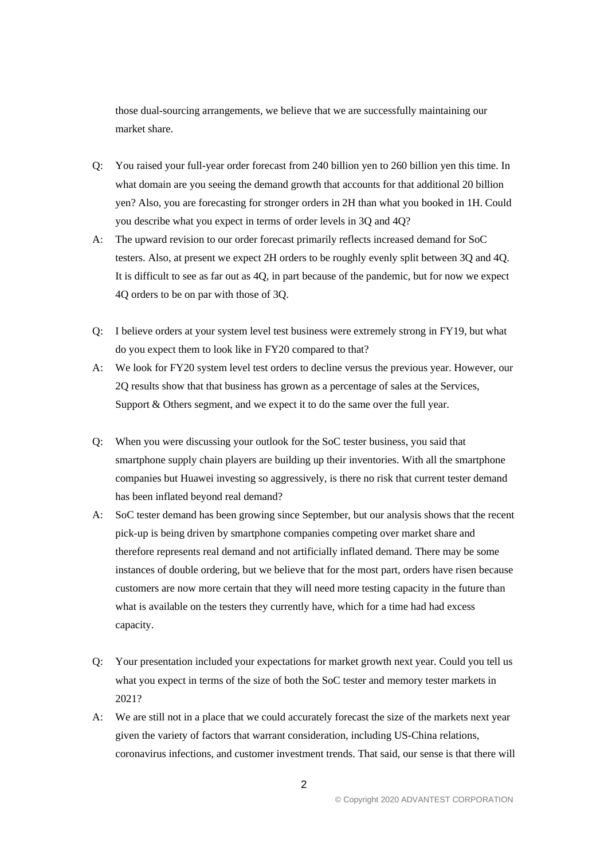those dual-sourcing arrangements, we believe that we are successfully maintaining our market share.

- Q: You raised your full-year order forecast from 240 billion yen to 260 billion yen this time. In what domain are you seeing the demand growth that accounts for that additional 20 billion yen? Also, you are forecasting for stronger orders in 2H than what you booked in 1H. Could you describe what you expect in terms of order levels in 3Q and 4Q?
- A: The upward revision to our order forecast primarily reflects increased demand for SoC testers. Also, at present we expect 2H orders to be roughly evenly split between 3Q and 4Q. It is difficult to see as far out as 4Q, in part because of the pandemic, but for now we expect 4Q orders to be on par with those of 3Q.
- Q: I believe orders at your system level test business were extremely strong in FY19, but what do you expect them to look like in FY20 compared to that?
- A: We look for FY20 system level test orders to decline versus the previous year. However, our 2Q results show that that business has grown as a percentage of sales at the Services, Support & Others segment, and we expect it to do the same over the full year.
- Q: When you were discussing your outlook for the SoC tester business, you said that smartphone supply chain players are building up their inventories. With all the smartphone companies but Huawei investing so aggressively, is there no risk that current tester demand has been inflated beyond real demand?
- A: SoC tester demand has been growing since September, but our analysis shows that the recent pick-up is being driven by smartphone companies competing over market share and therefore represents real demand and not artificially inflated demand. There may be some instances of double ordering, but we believe that for the most part, orders have risen because customers are now more certain that they will need more testing capacity in the future than what is available on the testers they currently have, which for a time had had excess capacity.
- Q: Your presentation included your expectations for market growth next year. Could you tell us what you expect in terms of the size of both the SoC tester and memory tester markets in 2021?
- A: We are still not in a place that we could accurately forecast the size of the markets next year given the variety of factors that warrant consideration, including US-China relations, coronavirus infections, and customer investment trends. That said, our sense is that there will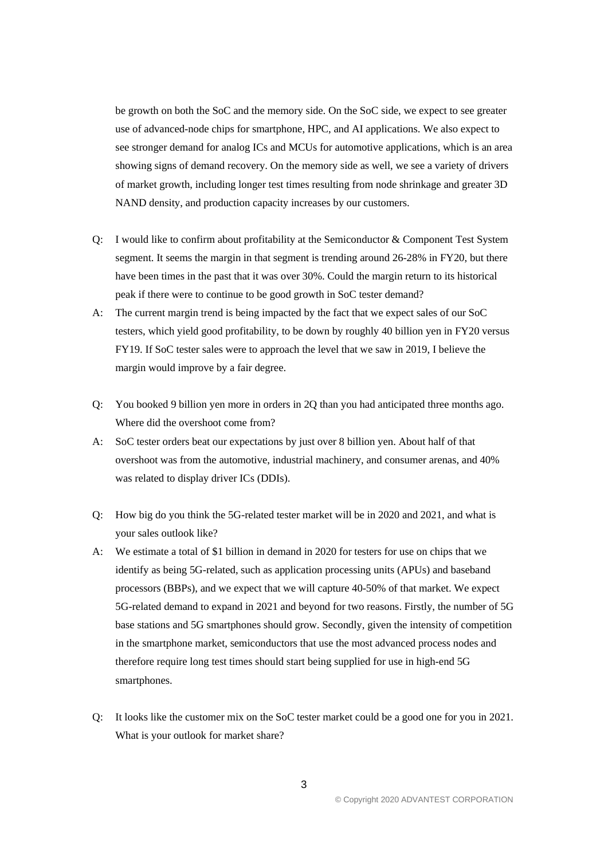be growth on both the SoC and the memory side. On the SoC side, we expect to see greater use of advanced-node chips for smartphone, HPC, and AI applications. We also expect to see stronger demand for analog ICs and MCUs for automotive applications, which is an area showing signs of demand recovery. On the memory side as well, we see a variety of drivers of market growth, including longer test times resulting from node shrinkage and greater 3D NAND density, and production capacity increases by our customers.

- Q: I would like to confirm about profitability at the Semiconductor & Component Test System segment. It seems the margin in that segment is trending around 26-28% in FY20, but there have been times in the past that it was over 30%. Could the margin return to its historical peak if there were to continue to be good growth in SoC tester demand?
- A: The current margin trend is being impacted by the fact that we expect sales of our SoC testers, which yield good profitability, to be down by roughly 40 billion yen in FY20 versus FY19. If SoC tester sales were to approach the level that we saw in 2019, I believe the margin would improve by a fair degree.
- Q: You booked 9 billion yen more in orders in 2Q than you had anticipated three months ago. Where did the overshoot come from?
- A: SoC tester orders beat our expectations by just over 8 billion yen. About half of that overshoot was from the automotive, industrial machinery, and consumer arenas, and 40% was related to display driver ICs (DDIs).
- Q: How big do you think the 5G-related tester market will be in 2020 and 2021, and what is your sales outlook like?
- A: We estimate a total of \$1 billion in demand in 2020 for testers for use on chips that we identify as being 5G-related, such as application processing units (APUs) and baseband processors (BBPs), and we expect that we will capture 40-50% of that market. We expect 5G-related demand to expand in 2021 and beyond for two reasons. Firstly, the number of 5G base stations and 5G smartphones should grow. Secondly, given the intensity of competition in the smartphone market, semiconductors that use the most advanced process nodes and therefore require long test times should start being supplied for use in high-end 5G smartphones.
- Q: It looks like the customer mix on the SoC tester market could be a good one for you in 2021. What is your outlook for market share?